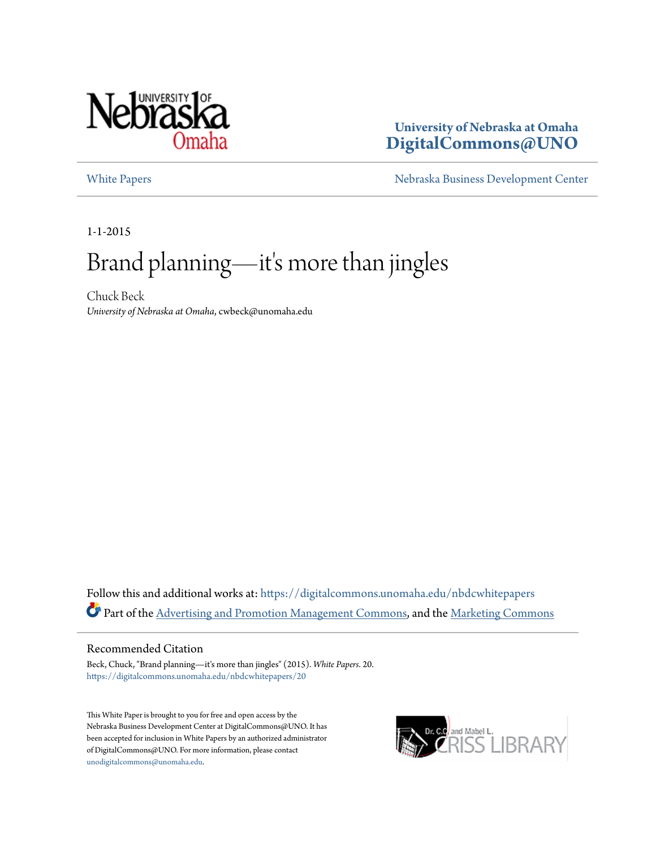

#### **University of Nebraska at Omaha [DigitalCommons@UNO](https://digitalcommons.unomaha.edu?utm_source=digitalcommons.unomaha.edu%2Fnbdcwhitepapers%2F20&utm_medium=PDF&utm_campaign=PDFCoverPages)**

[White Papers](https://digitalcommons.unomaha.edu/nbdcwhitepapers?utm_source=digitalcommons.unomaha.edu%2Fnbdcwhitepapers%2F20&utm_medium=PDF&utm_campaign=PDFCoverPages) [Nebraska Business Development Center](https://digitalcommons.unomaha.edu/nbdc?utm_source=digitalcommons.unomaha.edu%2Fnbdcwhitepapers%2F20&utm_medium=PDF&utm_campaign=PDFCoverPages)

1-1-2015

## Brand planning—it' s more than jingles

Chuck Beck *University of Nebraska at Omaha*, cwbeck@unomaha.edu

Follow this and additional works at: [https://digitalcommons.unomaha.edu/nbdcwhitepapers](https://digitalcommons.unomaha.edu/nbdcwhitepapers?utm_source=digitalcommons.unomaha.edu%2Fnbdcwhitepapers%2F20&utm_medium=PDF&utm_campaign=PDFCoverPages) Part of the [Advertising and Promotion Management Commons,](http://network.bepress.com/hgg/discipline/626?utm_source=digitalcommons.unomaha.edu%2Fnbdcwhitepapers%2F20&utm_medium=PDF&utm_campaign=PDFCoverPages) and the [Marketing Commons](http://network.bepress.com/hgg/discipline/638?utm_source=digitalcommons.unomaha.edu%2Fnbdcwhitepapers%2F20&utm_medium=PDF&utm_campaign=PDFCoverPages)

#### Recommended Citation

Beck, Chuck, "Brand planning—it's more than jingles" (2015). *White Papers*. 20. [https://digitalcommons.unomaha.edu/nbdcwhitepapers/20](https://digitalcommons.unomaha.edu/nbdcwhitepapers/20?utm_source=digitalcommons.unomaha.edu%2Fnbdcwhitepapers%2F20&utm_medium=PDF&utm_campaign=PDFCoverPages)

This White Paper is brought to you for free and open access by the Nebraska Business Development Center at DigitalCommons@UNO. It has been accepted for inclusion in White Papers by an authorized administrator of DigitalCommons@UNO. For more information, please contact [unodigitalcommons@unomaha.edu](mailto:unodigitalcommons@unomaha.edu).

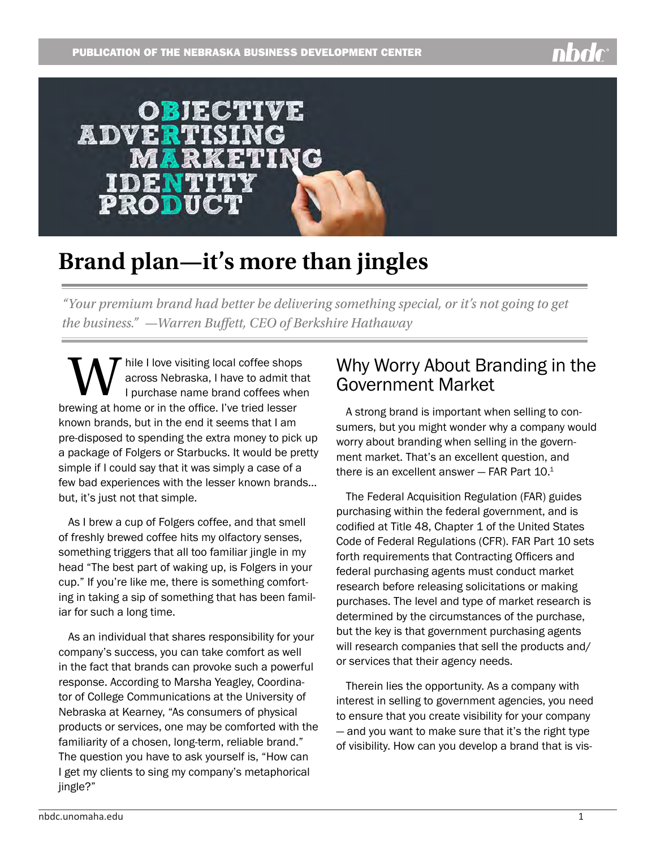# OBJECTIVE **ADVERTISING KETING**

## **Brand plan—it's more than jingles**

*"Your premium brand had better be delivering something special, or it's not going to get the business." —Warren Buffett, CEO of Berkshire Hathaway*

hile I love visiting local coffee shops across Nebraska, I have to admit that I purchase name brand coffees when brewing at home or in the office. I've tried lesser known brands, but in the end it seems that I am pre-disposed to spending the extra money to pick up a package of Folgers or Starbucks. It would be pretty simple if I could say that it was simply a case of a few bad experiences with the lesser known brands… but, it's just not that simple.

As I brew a cup of Folgers coffee, and that smell of freshly brewed coffee hits my olfactory senses, something triggers that all too familiar jingle in my head "The best part of waking up, is Folgers in your cup." If you're like me, there is something comforting in taking a sip of something that has been familiar for such a long time.

As an individual that shares responsibility for your company's success, you can take comfort as well in the fact that brands can provoke such a powerful response. According to Marsha Yeagley, Coordinator of College Communications at the University of Nebraska at Kearney, "As consumers of physical products or services, one may be comforted with the familiarity of a chosen, long-term, reliable brand." The question you have to ask yourself is, "How can I get my clients to sing my company's metaphorical jingle?"

#### Why Worry About Branding in the Government Market

A strong brand is important when selling to consumers, but you might wonder why a company would worry about branding when selling in the government market. That's an excellent question, and there is an excellent answer  $-$  FAR Part 10. $1$ 

The Federal Acquisition Regulation (FAR) guides purchasing within the federal government, and is codified at Title 48, Chapter 1 of the United States Code of Federal Regulations (CFR). FAR Part 10 sets forth requirements that Contracting Officers and federal purchasing agents must conduct market research before releasing solicitations or making purchases. The level and type of market research is determined by the circumstances of the purchase, but the key is that government purchasing agents will research companies that sell the products and/ or services that their agency needs.

Therein lies the opportunity. As a company with interest in selling to government agencies, you need to ensure that you create visibility for your company — and you want to make sure that it's the right type of visibility. How can you develop a brand that is vis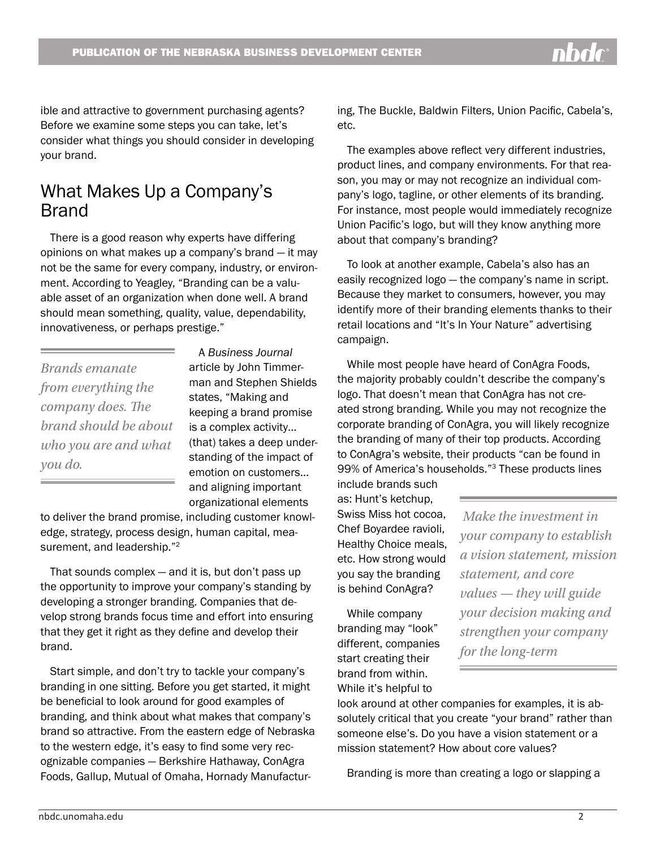ible and attractive to government purchasing agents? Before we examine some steps you can take, let's consider what things you should consider in developing your brand.

#### What Makes Up a Company's **Brand**

There is a good reason why experts have differing opinions on what makes up a company's brand — it may not be the same for every company, industry, or environment. According to Yeagley, "Branding can be a valuable asset of an organization when done well. A brand should mean something, quality, value, dependability, innovativeness, or perhaps prestige."

*Brands emanate from everything the company does. The brand should be about who you are and what you do.*

A *Business Journal* article by John Timmerman and Stephen Shields states, "Making and keeping a brand promise is a complex activity… (that) takes a deep understanding of the impact of emotion on customers… and aligning important organizational elements

to deliver the brand promise, including customer knowledge, strategy, process design, human capital, measurement, and leadership."<sup>2</sup>

That sounds complex  $-$  and it is, but don't pass up the opportunity to improve your company's standing by developing a stronger branding. Companies that develop strong brands focus time and effort into ensuring that they get it right as they define and develop their brand.

Start simple, and don't try to tackle your company's branding in one sitting. Before you get started, it might be beneficial to look around for good examples of branding, and think about what makes that company's brand so attractive. From the eastern edge of Nebraska to the western edge, it's easy to find some very recognizable companies — Berkshire Hathaway, ConAgra Foods, Gallup, Mutual of Omaha, Hornady Manufacturing, The Buckle, Baldwin Filters, Union Pacific, Cabela's, etc.

The examples above reflect very different industries, product lines, and company environments. For that reason, you may or may not recognize an individual company's logo, tagline, or other elements of its branding. For instance, most people would immediately recognize Union Pacific's logo, but will they know anything more about that company's branding?

To look at another example, Cabela's also has an easily recognized logo — the company's name in script. Because they market to consumers, however, you may identify more of their branding elements thanks to their retail locations and "It's In Your Nature" advertising campaign.

While most people have heard of ConAgra Foods, the majority probably couldn't describe the company's logo. That doesn't mean that ConAgra has not created strong branding. While you may not recognize the corporate branding of ConAgra, you will likely recognize the branding of many of their top products. According to ConAgra's website, their products "can be found in 99% of America's households."3 These products lines

include brands such as: Hunt's ketchup, Swiss Miss hot cocoa, Chef Boyardee ravioli, Healthy Choice meals, etc. How strong would you say the branding is behind ConAgra?

While company branding may "look" different, companies start creating their brand from within.

While it's helpful to

 *Make the investment in your company to establish a vision statement, mission statement, and core values — they will guide your decision making and strengthen your company for the long-term*

look around at other companies for examples, it is absolutely critical that you create "your brand" rather than someone else's. Do you have a vision statement or a mission statement? How about core values?

Branding is more than creating a logo or slapping a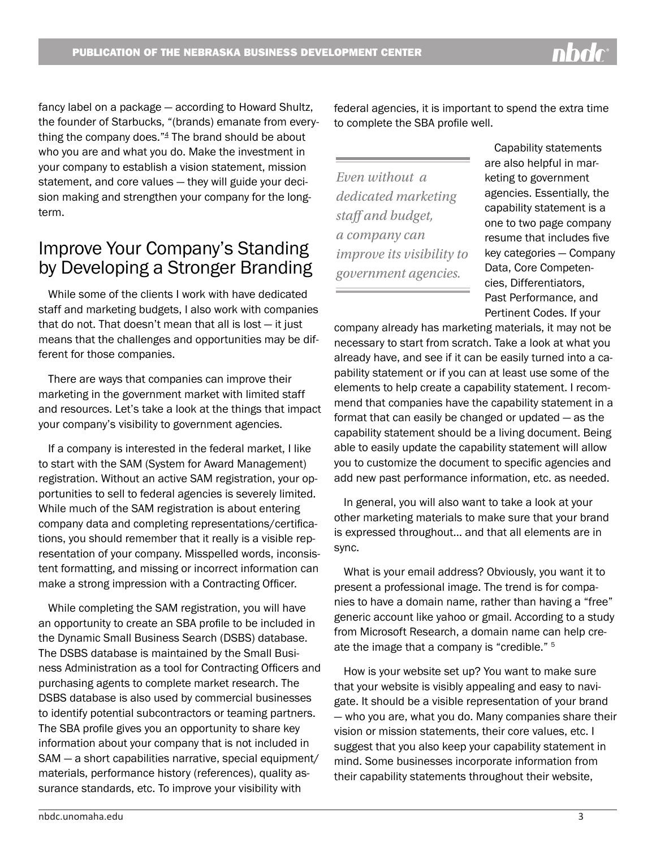PUBLICATION OF THE NEBRASKA BUSINESS DEVELOPMENT CENTER

fancy label on a package — according to Howard Shultz, the founder of Starbucks, "(brands) emanate from everything the company does." $4$  The brand should be about who you are and what you do. Make the investment in your company to establish a vision statement, mission statement, and core values — they will guide your decision making and strengthen your company for the longterm.

#### Improve Your Company's Standing by Developing a Stronger Branding

While some of the clients I work with have dedicated staff and marketing budgets, I also work with companies that do not. That doesn't mean that all is lost  $-$  it just means that the challenges and opportunities may be different for those companies.

There are ways that companies can improve their marketing in the government market with limited staff and resources. Let's take a look at the things that impact your company's visibility to government agencies.

If a company is interested in the federal market, I like to start with the SAM (System for Award Management) registration. Without an active SAM registration, your opportunities to sell to federal agencies is severely limited. While much of the SAM registration is about entering company data and completing representations/certifications, you should remember that it really is a visible representation of your company. Misspelled words, inconsistent formatting, and missing or incorrect information can make a strong impression with a Contracting Officer.

While completing the SAM registration, you will have an opportunity to create an SBA profile to be included in the Dynamic Small Business Search (DSBS) database. The DSBS database is maintained by the Small Business Administration as a tool for Contracting Officers and purchasing agents to complete market research. The DSBS database is also used by commercial businesses to identify potential subcontractors or teaming partners. The SBA profile gives you an opportunity to share key information about your company that is not included in SAM — a short capabilities narrative, special equipment/ materials, performance history (references), quality assurance standards, etc. To improve your visibility with

federal agencies, it is important to spend the extra time to complete the SBA profile well.

*Even without a dedicated marketing staff and budget, a company can improve its visibility to government agencies.*

Capability statements are also helpful in marketing to government agencies. Essentially, the capability statement is a one to two page company resume that includes five key categories — Company Data, Core Competencies, Differentiators, Past Performance, and Pertinent Codes. If your

company already has marketing materials, it may not be necessary to start from scratch. Take a look at what you already have, and see if it can be easily turned into a capability statement or if you can at least use some of the elements to help create a capability statement. I recommend that companies have the capability statement in a format that can easily be changed or updated — as the capability statement should be a living document. Being able to easily update the capability statement will allow you to customize the document to specific agencies and add new past performance information, etc. as needed.

In general, you will also want to take a look at your other marketing materials to make sure that your brand is expressed throughout… and that all elements are in sync.

What is your email address? Obviously, you want it to present a professional image. The trend is for companies to have a domain name, rather than having a "free" generic account like yahoo or gmail. According to a study from Microsoft Research, a domain name can help create the image that a company is "credible." <sup>5</sup>

How is your website set up? You want to make sure that your website is visibly appealing and easy to navigate. It should be a visible representation of your brand — who you are, what you do. Many companies share their vision or mission statements, their core values, etc. I suggest that you also keep your capability statement in mind. Some businesses incorporate information from their capability statements throughout their website,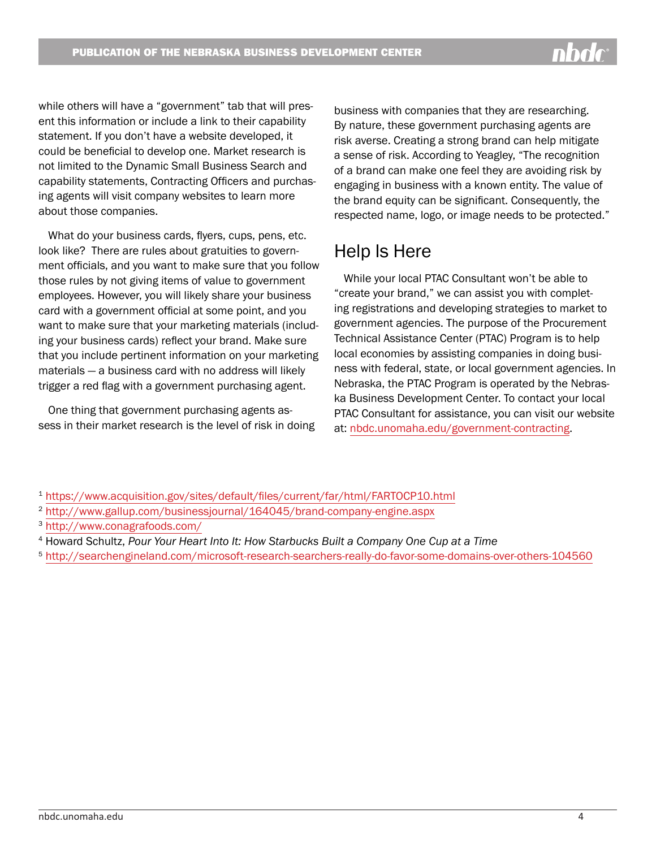while others will have a "government" tab that will present this information or include a link to their capability statement. If you don't have a website developed, it could be beneficial to develop one. Market research is not limited to the Dynamic Small Business Search and capability statements, Contracting Officers and purchasing agents will visit company websites to learn more about those companies.

What do your business cards, flyers, cups, pens, etc. look like? There are rules about gratuities to government officials, and you want to make sure that you follow those rules by not giving items of value to government employees. However, you will likely share your business card with a government official at some point, and you want to make sure that your marketing materials (including your business cards) reflect your brand. Make sure that you include pertinent information on your marketing materials — a business card with no address will likely trigger a red flag with a government purchasing agent.

One thing that government purchasing agents assess in their market research is the level of risk in doing business with companies that they are researching. By nature, these government purchasing agents are risk averse. Creating a strong brand can help mitigate a sense of risk. According to Yeagley, "The recognition of a brand can make one feel they are avoiding risk by engaging in business with a known entity. The value of the brand equity can be significant. Consequently, the respected name, logo, or image needs to be protected."

#### Help Is Here

While your local PTAC Consultant won't be able to "create your brand," we can assist you with completing registrations and developing strategies to market to government agencies. The purpose of the Procurement Technical Assistance Center (PTAC) Program is to help local economies by assisting companies in doing business with federal, state, or local government agencies. In Nebraska, the PTAC Program is operated by the Nebraska Business Development Center. To contact your local PTAC Consultant for assistance, you can visit our website at: [nbdc.unomaha.edu/government-contracting.](http://nbdc.unomaha.edu/government-contracting)

- <sup>1</sup> [https://www.acquisition.gov/sites/default/files/current/far/html/FARTOCP10.html](https://www.acquisition.gov/sites/default/files/current/far/html/FARTOCP10.html%0A)
- <sup>2</sup> [http://www.gallup.com/businessjournal/164045/brand-company-engine.aspx](http://www.gallup.com/businessjournal/164045/brand-company-engine.aspx%0A)
- <sup>3</sup> [http://www.conagrafoods.com/](%20http://www.conagrafoods.com/%0A)
- <sup>4</sup> Howard Schultz, *Pour Your Heart Into It: How Starbucks Built a Company One Cup at a Time*
- <sup>5</sup> h[ttp://searchengineland.com/microsoft-research-searchers-really-do-favor-some-domains-over-others-104560](ttp://searchengineland.com/microsoft-research-searchers-really-do-favor-some-domains-over-others-104560%0D)